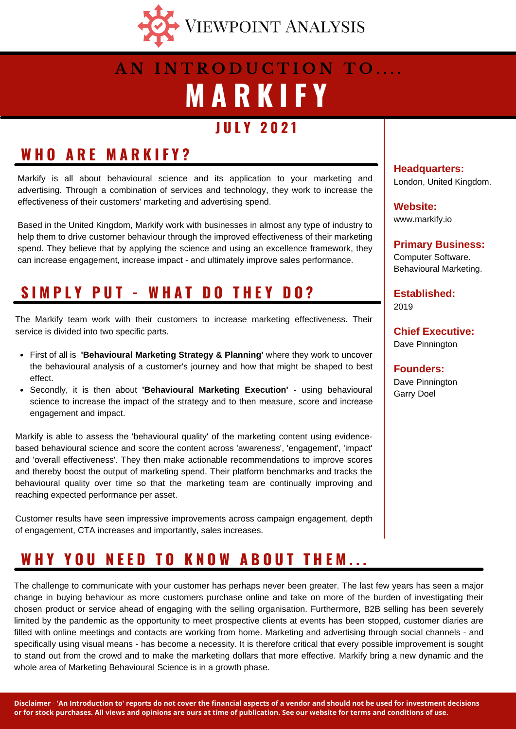

# **M A R K I F Y A N I N T R O D U C T I O N T O . . . .**

### **J U L Y 2 0 2 1**

## **W H O A R E M A R K I F Y ?**

Markify is all about behavioural science and its application to your marketing and advertising. Through a combination of services and technology, they work to increase the effectiveness of their customers' marketing and advertising spend.

Based in the United Kingdom, Markify work with businesses in almost any type of industry to help them to drive customer behaviour through the improved effectiveness of their marketing spend. They believe that by applying the science and using an excellence framework, they can increase engagement, increase impact - and ultimately improve sales performance.

## **S I M P L Y P U T - W H A T D O T H E Y D O ?**

The Markify team work with their customers to increase marketing effectiveness. Their service is divided into two specific parts.

- First of all is **'Behavioural Marketing Strategy & Planning'** where they work to uncover the behavioural analysis of a customer's journey and how that might be shaped to best effect.
- Secondly, it is then about **'Behavioural Marketing Execution'** using behavioural science to increase the impact of the strategy and to then measure, score and increase engagement and impact.

Markify is able to assess the 'behavioural quality' of the marketing content using evidencebased behavioural science and score the content across 'awareness', 'engagement', 'impact' and 'overall effectiveness'. They then make actionable recommendations to improve scores and thereby boost the output of marketing spend. Their platform benchmarks and tracks the behavioural quality over time so that the marketing team are continually improving and reaching expected performance per asset.

Customer results have seen impressive improvements across campaign engagement, depth of engagement, CTA increases and importantly, sales increases.

### WHY YOU NEED TO KNOW ABOUT THEM...

The challenge to communicate with your customer has perhaps never been greater. The last few years has seen a major change in buying behaviour as more customers purchase online and take on more of the burden of investigating their chosen product or service ahead of engaging with the selling organisation. Furthermore, B2B selling has been severely limited by the pandemic as the opportunity to meet prospective clients at events has been stopped, customer diaries are filled with online meetings and contacts are working from home. Marketing and advertising through social channels - and specifically using visual means - has become a necessity. It is therefore critical that every possible improvement is sought to stand out from the crowd and to make the marketing dollars that more effective. Markify bring a new dynamic and the whole area of Marketing Behavioural Science is in a growth phase.

**Headquarters:** London, United Kingdom.

**Website:** www.markify.io

**Primary Business:** Computer Software. Behavioural Marketing.

**Established:** 2019

**Chief Executive:** Dave Pinnington

**Founders:** Dave Pinnington Garry Doel